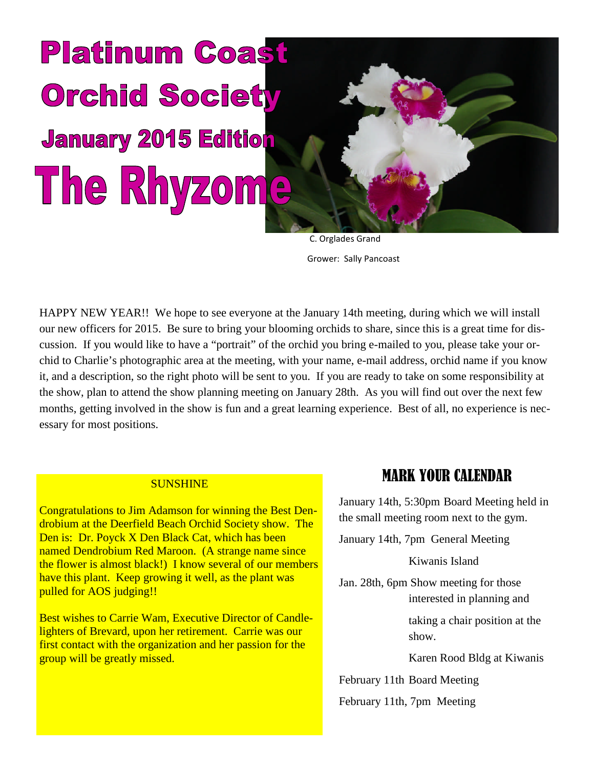# **Platinum Coast Orchid Society January 2015 Edition** The Rhyzome

C. Orglades Grand Grower: Sally Pancoast

HAPPY NEW YEAR!! We hope to see everyone at the January 14th meeting, during which we will install our new officers for 2015. Be sure to bring your blooming orchids to share, since this is a great time for discussion. If you would like to have a "portrait" of the orchid you bring e-mailed to you, please take your orchid to Charlie's photographic area at the meeting, with your name, e-mail address, orchid name if you know it, and a description, so the right photo will be sent to you. If you are ready to take on some responsibility at the show, plan to attend the show planning meeting on January 28th. As you will find out over the next few months, getting involved in the show is fun and a great learning experience. Best of all, no experience is necessary for most positions.

#### **SUNSHINE**

Congratulations to Jim Adamson for winning the Best Dendrobium at the Deerfield Beach Orchid Society show. The Den is: Dr. Poyck X Den Black Cat, which has been named Dendrobium Red Maroon. (A strange name since the flower is almost black!) I know several of our members have this plant. Keep growing it well, as the plant was pulled for AOS judging!!

Best wishes to Carrie Wam, Executive Director of Candlelighters of Brevard, upon her retirement. Carrie was our first contact with the organization and her passion for the group will be greatly missed.

# MARK YOUR CALENDAR

January 14th, 5:30pm Board Meeting held in the small meeting room next to the gym.

January 14th, 7pm General Meeting

Kiwanis Island

Jan. 28th, 6pm Show meeting for those interested in planning and

> taking a chair position at the show.

Karen Rood Bldg at Kiwanis

February 11th Board Meeting

February 11th, 7pm Meeting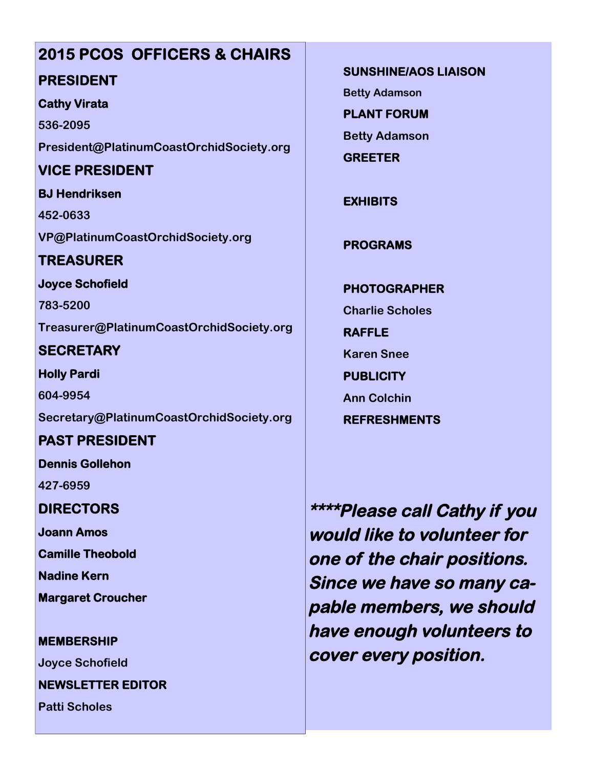# **2015 PCOS OFFICERS & CHAIRS**

## **PRESIDENT**

#### **Cathy Virata**

**536-2095 President@PlatinumCoastOrchidSociety.org**

# **VICE PRESIDENT**

**BJ Hendriksen 452-0633 VP@PlatinumCoastOrchidSociety.org**

# **TREASURER**

**Joyce Schofield**

**783-5200 Treasurer@PlatinumCoastOrchidSociety.org**

# **SECRETARY**

**Holly Pardi 604-9954 Secretary@PlatinumCoastOrchidSociety.org**

# **PAST PRESIDENT**

**Dennis Gollehon**

**427-6959**

# **DIRECTORS**

**Joann Amos**

**Camille Theobold**

**Nadine Kern**

**Margaret Croucher**

**MEMBERSHIP**

**Joyce Schofield**

**NEWSLETTER EDITOR**

**Patti Scholes**

**SUNSHINE/AOS LIAISON**

**Betty Adamson**

**PLANT FORUM**

**Betty Adamson**

**GREETER**

**EXHIBITS**

**PROGRAMS**

**PHOTOGRAPHER Charlie Scholes RAFFLE Karen Snee PUBLICITY Ann Colchin REFRESHMENTS**

**\*\*\*\*Please call Cathy if you would like to volunteer for one of the chair positions. Since we have so many capable members, we should have enough volunteers to cover every position.**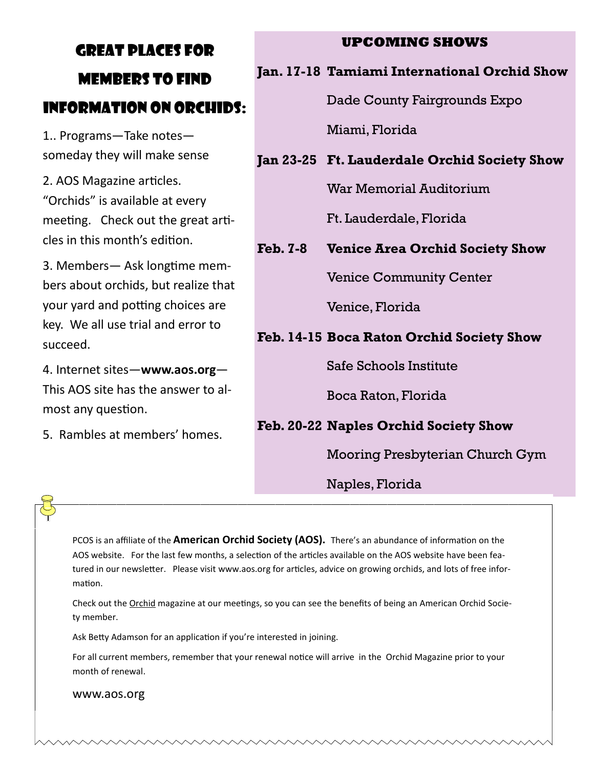# GREAT PLACES FOR MEMBERS TO FIND INFORMATION ON ORCHIDS:

1.. Programs—Take notes someday they will make sense

2. AOS Magazine articles. "Orchids" is available at every meeting. Check out the great articles in this month's edition.

3. Members— Ask longtime members about orchids, but realize that vour vard and potting choices are key. We all use trial and error to succeed.

4. Internet sites—**www.aos.org**— This AOS site has the answer to almost any question.

5. Rambles at members' homes.

#### **UPCOMING SHOWS**

#### **Jan. 17-18 Tamiami International Orchid Show**

Dade County Fairgrounds Expo

Miami, Florida

## **Jan 23-25 Ft. Lauderdale Orchid Society Show**

War Memorial Auditorium

Ft. Lauderdale, Florida

# **Feb. 7-8 Venice Area Orchid Society Show**

Venice Community Center

Venice, Florida

# **Feb. 14-15 Boca Raton Orchid Society Show**

Safe Schools Institute

Boca Raton, Florida

# **Feb. 20-22 Naples Orchid Society Show**

Mooring Presbyterian Church Gym

# Naples, Florida

PCOS is an affiliate of the **American Orchid Society (AOS).** There's an abundance of information on the AOS website. For the last few months, a selection of the articles available on the AOS website have been featured in our newsletter. Please visit www.aos.org for articles, advice on growing orchids, and lots of free information.

Check out the Orchid magazine at our meetings, so you can see the benefits of being an American Orchid Society member.

Ask Betty Adamson for an application if you're interested in joining.

For all current members, remember that your renewal notice will arrive in the Orchid Magazine prior to your month of renewal.

www.aos.org